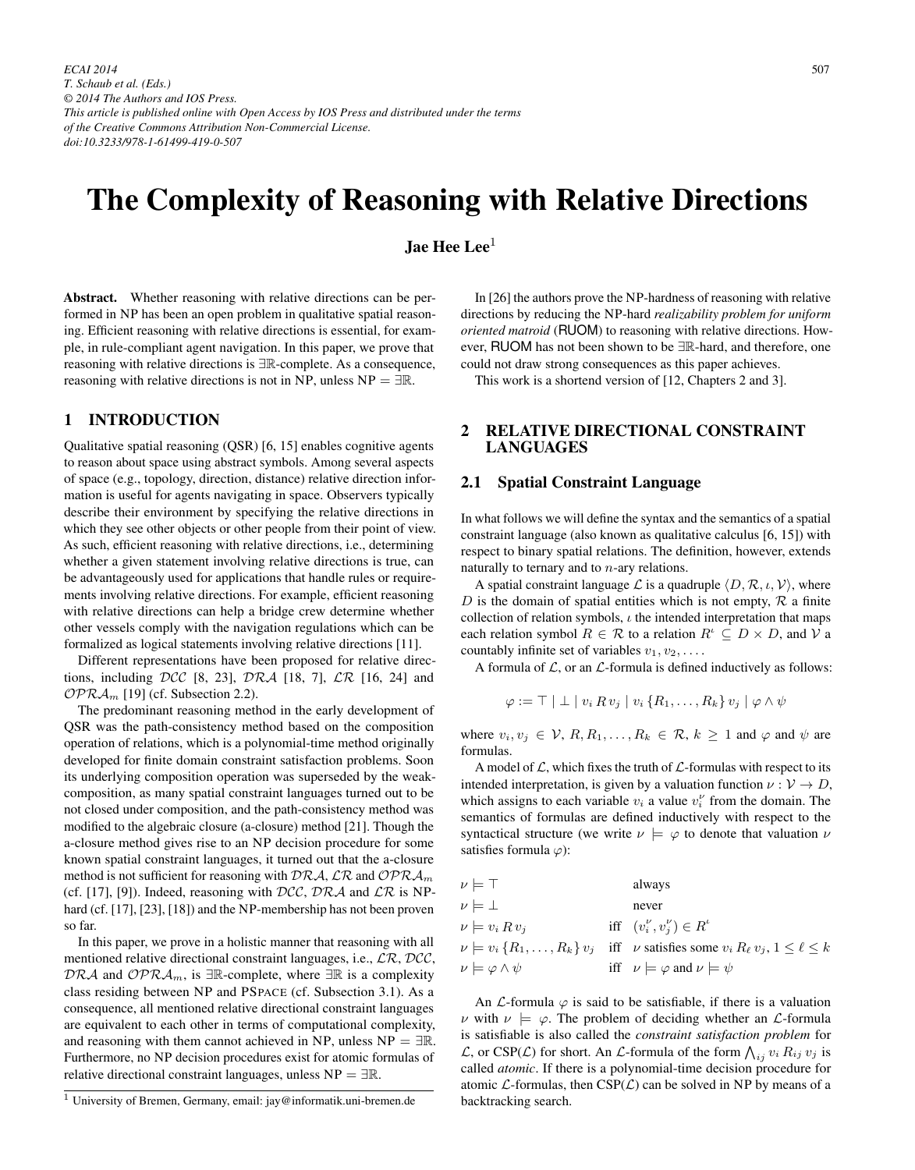*ECAI 2014 T. Schaub et al. (Eds.) © 2014 The Authors and IOS Press. This article is published online with Open Access by IOS Press and distributed under the terms of the Creative Commons Attribution Non-Commercial License. doi:10.3233/978-1-61499-419-0-507*

# The Complexity of Reasoning with Relative Directions

Jae Hee Lee $1$ 

Abstract. Whether reasoning with relative directions can be performed in NP has been an open problem in qualitative spatial reasoning. Efficient reasoning with relative directions is essential, for example, in rule-compliant agent navigation. In this paper, we prove that reasoning with relative directions is <sup>∃</sup>R-complete. As a consequence, reasoning with relative directions is not in NP, unless  $NP = \exists \mathbb{R}$ .

## 1 INTRODUCTION

Qualitative spatial reasoning (QSR) [6, 15] enables cognitive agents to reason about space using abstract symbols. Among several aspects of space (e.g., topology, direction, distance) relative direction information is useful for agents navigating in space. Observers typically describe their environment by specifying the relative directions in which they see other objects or other people from their point of view. As such, efficient reasoning with relative directions, i.e., determining whether a given statement involving relative directions is true, can be advantageously used for applications that handle rules or requirements involving relative directions. For example, efficient reasoning with relative directions can help a bridge crew determine whether other vessels comply with the navigation regulations which can be formalized as logical statements involving relative directions [11].

Different representations have been proposed for relative directions, including DCC [8, 23], DRA [18, 7],  $\mathcal{LR}$  [16, 24] and  $OPRA<sub>m</sub>$  [19] (cf. Subsection 2.2).

The predominant reasoning method in the early development of QSR was the path-consistency method based on the composition operation of relations, which is a polynomial-time method originally developed for finite domain constraint satisfaction problems. Soon its underlying composition operation was superseded by the weakcomposition, as many spatial constraint languages turned out to be not closed under composition, and the path-consistency method was modified to the algebraic closure (a-closure) method [21]. Though the a-closure method gives rise to an NP decision procedure for some known spatial constraint languages, it turned out that the a-closure method is not sufficient for reasoning with  $DRA$ ,  $\mathcal{LR}$  and  $OPRA<sub>m</sub>$ (cf. [17], [9]). Indeed, reasoning with  $DCC$ ,  $DRA$  and  $LR$  is NPhard (cf. [17], [23], [18]) and the NP-membership has not been proven so far.

In this paper, we prove in a holistic manner that reasoning with all mentioned relative directional constraint languages, i.e.,  $\mathcal{LR}$ ,  $\mathcal{DCC}$ ,  $DRA$  and  $OPRA<sub>m</sub>$ , is ∃R-complete, where ∃R is a complexity class residing between NP and PSPACE (cf. Subsection 3.1). As a consequence, all mentioned relative directional constraint languages are equivalent to each other in terms of computational complexity, and reasoning with them cannot achieved in NP, unless  $NP = \exists \mathbb{R}$ . Furthermore, no NP decision procedures exist for atomic formulas of relative directional constraint languages, unless  $NP = \exists \mathbb{R}$ .

<sup>1</sup> University of Bremen, Germany, email: jay@informatik.uni-bremen.de

In [26] the authors prove the NP-hardness of reasoning with relative directions by reducing the NP-hard *realizability problem for uniform oriented matroid* (RUOM) to reasoning with relative directions. However, RUOM has not been shown to be <sup>∃</sup>R-hard, and therefore, one could not draw strong consequences as this paper achieves.

This work is a shortend version of [12, Chapters 2 and 3].

# 2 RELATIVE DIRECTIONAL CONSTRAINT LANGUAGES

## 2.1 Spatial Constraint Language

In what follows we will define the syntax and the semantics of a spatial constraint language (also known as qualitative calculus [6, 15]) with respect to binary spatial relations. The definition, however, extends naturally to ternary and to  $n$ -ary relations.

A spatial constraint language L is a quadruple  $\langle D, \mathcal{R}, \iota, \mathcal{V} \rangle$ , where D is the domain of spatial entities which is not empty,  $\mathcal R$  a finite collection of relation symbols,  $\iota$  the intended interpretation that maps each relation symbol  $R \in \mathcal{R}$  to a relation  $R^i \subseteq D \times D$ , and V a countably infinite set of variables  $v_1, v_2, \ldots$ .

A formula of  $\mathcal{L}$ , or an  $\mathcal{L}$ -formula is defined inductively as follows:

$$
\varphi := \top \mid \bot \mid v_i \, R \, v_j \mid v_i \, \{R_1, \ldots, R_k\} \, v_j \mid \varphi \wedge \psi
$$

where  $v_i, v_j \in \mathcal{V}, R, R_1, \ldots, R_k \in \mathcal{R}, k \geq 1$  and  $\varphi$  and  $\psi$  are formulas.

A model of  $\mathcal{L}$ , which fixes the truth of  $\mathcal{L}$ -formulas with respect to its intended interpretation, is given by a valuation function  $\nu : \mathcal{V} \to D$ , which assigns to each variable  $v_i$  a value  $v_i^{\nu}$  from the domain. The semantics of formulas are defined inductively with respect to the semantics of formulas are defined inductively with respect to the syntactical structure (we write  $\nu \models \varphi$  to denote that valuation  $\nu$ satisfies formula  $\varphi$ :

$$
\nu \models \top \qquad \text{always}
$$
\n
$$
\nu \models \bot \qquad \text{never}
$$
\n
$$
\nu \models v_i \, R \, v_j \qquad \text{iff} \quad (v_i^{\nu}, v_j^{\nu}) \in R^{\nu}
$$
\n
$$
\nu \models v_i \, \{R_1, \ldots, R_k\} \, v_j \quad \text{iff} \quad \nu \text{ satisfies some } v_i \, R_\ell \, v_j, 1 \le \ell \le k
$$
\n
$$
\nu \models \varphi \land \psi \qquad \text{iff} \quad \nu \models \varphi \text{ and } \nu \models \psi
$$

An  $\mathcal L$ -formula  $\varphi$  is said to be satisfiable, if there is a valuation  $\nu$  with  $\nu \models \varphi$ . The problem of deciding whether an *L*-formula is satisfiable is also called the *constraint satisfaction problem* for  $\mathcal{L}$ , or CSP( $\mathcal{L}$ ) for short. An  $\mathcal{L}$ -formula of the form  $\bigwedge_{i,j} v_i R_{ij} v_j$  is called *atomic*. If there is a polynomial-time decision procedure for called *atomic*. If there is a polynomial-time decision procedure for atomic  $\mathcal{L}$ -formulas, then  $CSP(\mathcal{L})$  can be solved in NP by means of a backtracking search.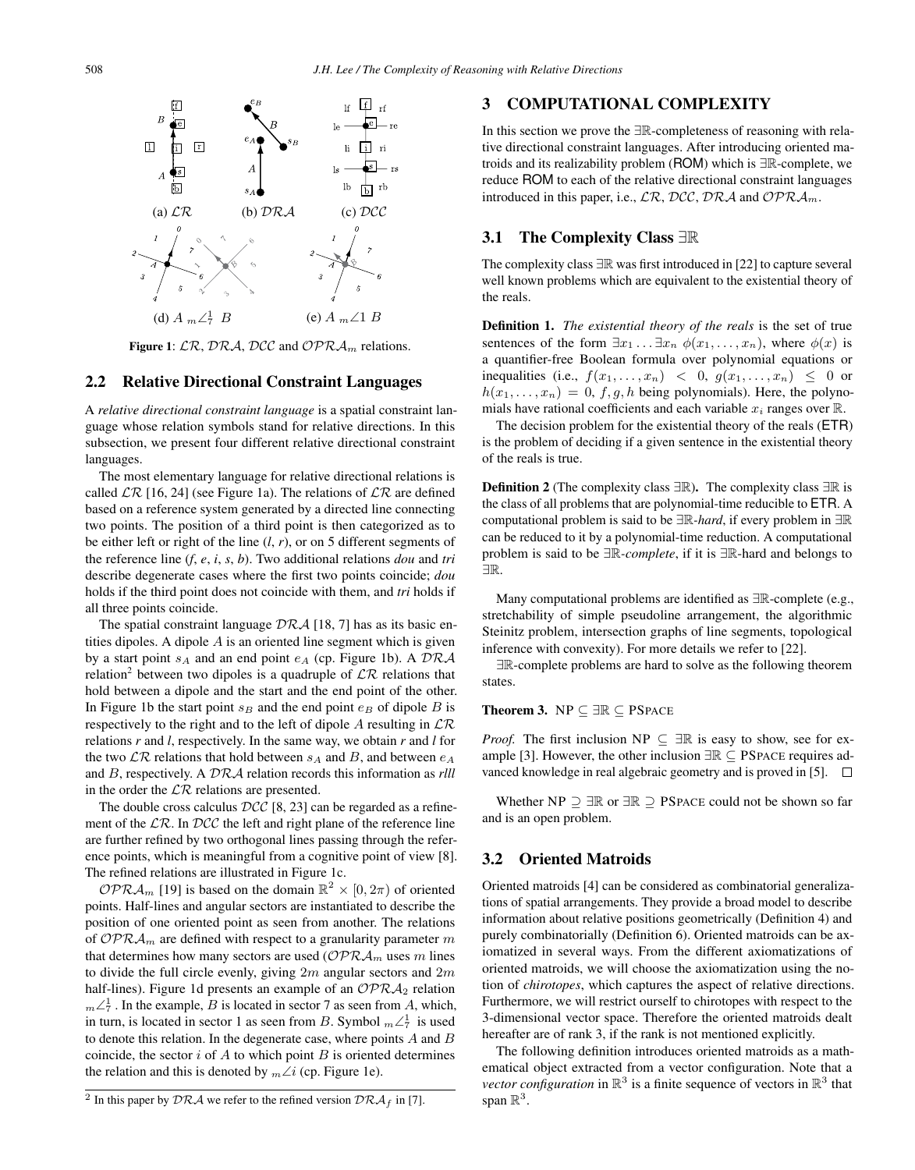

Figure 1:  $\mathcal{LR}$ ,  $\mathcal{DRA}$ ,  $\mathcal{DCC}$  and  $\mathcal{OPRA}_m$  relations.

#### 2.2 Relative Directional Constraint Languages

A *relative directional constraint language* is a spatial constraint language whose relation symbols stand for relative directions. In this subsection, we present four different relative directional constraint languages.

The most elementary language for relative directional relations is called  $\mathcal{LR}$  [16, 24] (see Figure 1a). The relations of  $\mathcal{LR}$  are defined based on a reference system generated by a directed line connecting two points. The position of a third point is then categorized as to be either left or right of the line (*l*, *r*), or on 5 different segments of the reference line (*f*, *e*, *i*, *s*, *b*). Two additional relations *dou* and *tri* describe degenerate cases where the first two points coincide; *dou* holds if the third point does not coincide with them, and *tri* holds if all three points coincide.

The spatial constraint language  $\mathcal{DRA}$  [18, 7] has as its basic entities dipoles. A dipole  $A$  is an oriented line segment which is given by a start point  $s_A$  and an end point  $e_A$  (cp. Figure 1b). A  $DRA$ relation<sup>2</sup> between two dipoles is a quadruple of  $\mathcal{LR}$  relations that hold between a dipole and the start and the end point of the other. In Figure 1b the start point  $s_B$  and the end point  $e_B$  of dipole B is respectively to the right and to the left of dipole A resulting in  $\mathcal{LR}$ relations *r* and *l*, respectively. In the same way, we obtain *r* and *l* for the two  $\mathcal{LR}$  relations that hold between  $s_A$  and  $B$ , and between  $e_A$ and B, respectively. A DRA relation records this information as *rlll* in the order the  $\mathcal{LR}$  relations are presented.

The double cross calculus  $DCC$  [8, 23] can be regarded as a refinement of the  $\mathcal{LR}$ . In  $\mathcal{DCC}$  the left and right plane of the reference line are further refined by two orthogonal lines passing through the reference points, which is meaningful from a cognitive point of view [8]. The refined relations are illustrated in Figure 1c.

 $\mathcal{OPRA}_m$  [19] is based on the domain  $\mathbb{R}^2 \times [0, 2\pi)$  of oriented points. Half-lines and angular sectors are instantiated to describe the position of one oriented point as seen from another. The relations of OPR $\mathcal{A}_m$  are defined with respect to a granularity parameter m that determines how many sectors are used  $\left(\mathcal{OPRA}_m\right)$  uses m lines to divide the full circle evenly, giving  $2m$  angular sectors and  $2m$ half-lines). Figure 1d presents an example of an  $\mathcal{OPRA}_2$  relation  $m\angle^{\frac{1}{7}}$ . In the example, *B* is located in sector 7 as seen from *A*, which, in turn, is located in sector 1 as seen from B. Symbol  $m\angle^1_7$  is used<br>to denote this relation. In the degenerate case, where points A and B to denote this relation. In the degenerate case, where points  $A$  and  $B$ coincide, the sector  $i$  of  $A$  to which point  $B$  is oriented determines the relation and this is denoted by  $m\angle i$  (cp. Figure 1e).

# 3 COMPUTATIONAL COMPLEXITY

In this section we prove the <sup>∃</sup>R-completeness of reasoning with relative directional constraint languages. After introducing oriented matroids and its realizability problem (ROM) which is <sup>∃</sup>R-complete, we reduce ROM to each of the relative directional constraint languages introduced in this paper, i.e.,  $\mathcal{LR}$ ,  $\mathcal{DCC}$ ,  $\mathcal{DRA}$  and  $\mathcal{OPRA}_m$ .

# 3.1 The Complexity Class <sup>∃</sup><sup>R</sup>

The complexity class <sup>∃</sup><sup>R</sup> was first introduced in [22] to capture several well known problems which are equivalent to the existential theory of the reals.

Definition 1. *The existential theory of the reals* is the set of true sentences of the form  $\exists x_1 \ldots \exists x_n \phi(x_1,\ldots,x_n)$ , where  $\phi(x)$  is a quantifier-free Boolean formula over polynomial equations or inequalities (i.e.,  $f(x_1,...,x_n) < 0$ ,  $g(x_1,...,x_n) \leq 0$  or  $h(x_1,...,x_n)=0$ , f, g, h being polynomials). Here, the polynomials have rational coefficients and each variable  $x_i$  ranges over  $\mathbb R$ .

The decision problem for the existential theory of the reals (ETR) is the problem of deciding if a given sentence in the existential theory of the reals is true.

**Definition 2** (The complexity class  $\exists \mathbb{R}$ ). The complexity class  $\exists \mathbb{R}$  is the class of all problems that are polynomial-time reducible to ETR. A computational problem is said to be <sup>∃</sup>R*-hard*, if every problem in <sup>∃</sup><sup>R</sup> can be reduced to it by a polynomial-time reduction. A computational problem is said to be <sup>∃</sup>R*-complete*, if it is <sup>∃</sup>R-hard and belongs to ∃R.

Many computational problems are identified as <sup>∃</sup>R-complete (e.g., stretchability of simple pseudoline arrangement, the algorithmic Steinitz problem, intersection graphs of line segments, topological inference with convexity). For more details we refer to [22].

<sup>∃</sup>R-complete problems are hard to solve as the following theorem states.

## Theorem 3. NP ⊆ ∃R ⊆ PSPACE

*Proof.* The first inclusion NP  $\subseteq \exists \mathbb{R}$  is easy to show, see for example [3]. However, the other inclusion  $\exists \mathbb{R} \subseteq \text{PSPACE}$  requires advanced knowledge in real algebraic geometry and is proved in [5].  $\square$ 

Whether NP  $\supseteq \exists \mathbb{R}$  or  $\exists \mathbb{R} \supseteq \mathbb{P}$  SPACE could not be shown so far and is an open problem.

#### 3.2 Oriented Matroids

Oriented matroids [4] can be considered as combinatorial generalizations of spatial arrangements. They provide a broad model to describe information about relative positions geometrically (Definition 4) and purely combinatorially (Definition 6). Oriented matroids can be axiomatized in several ways. From the different axiomatizations of oriented matroids, we will choose the axiomatization using the notion of *chirotopes*, which captures the aspect of relative directions. Furthermore, we will restrict ourself to chirotopes with respect to the 3-dimensional vector space. Therefore the oriented matroids dealt hereafter are of rank 3, if the rank is not mentioned explicitly.

The following definition introduces oriented matroids as a mathematical object extracted from a vector configuration. Note that a *vector configuration* in  $\mathbb{R}^3$  is a finite sequence of vectors in  $\mathbb{R}^3$  that span  $\mathbb{R}^3$ .

<sup>&</sup>lt;sup>2</sup> In this paper by DRA we refer to the refined version  $\mathcal{DRA}_f$  in [7].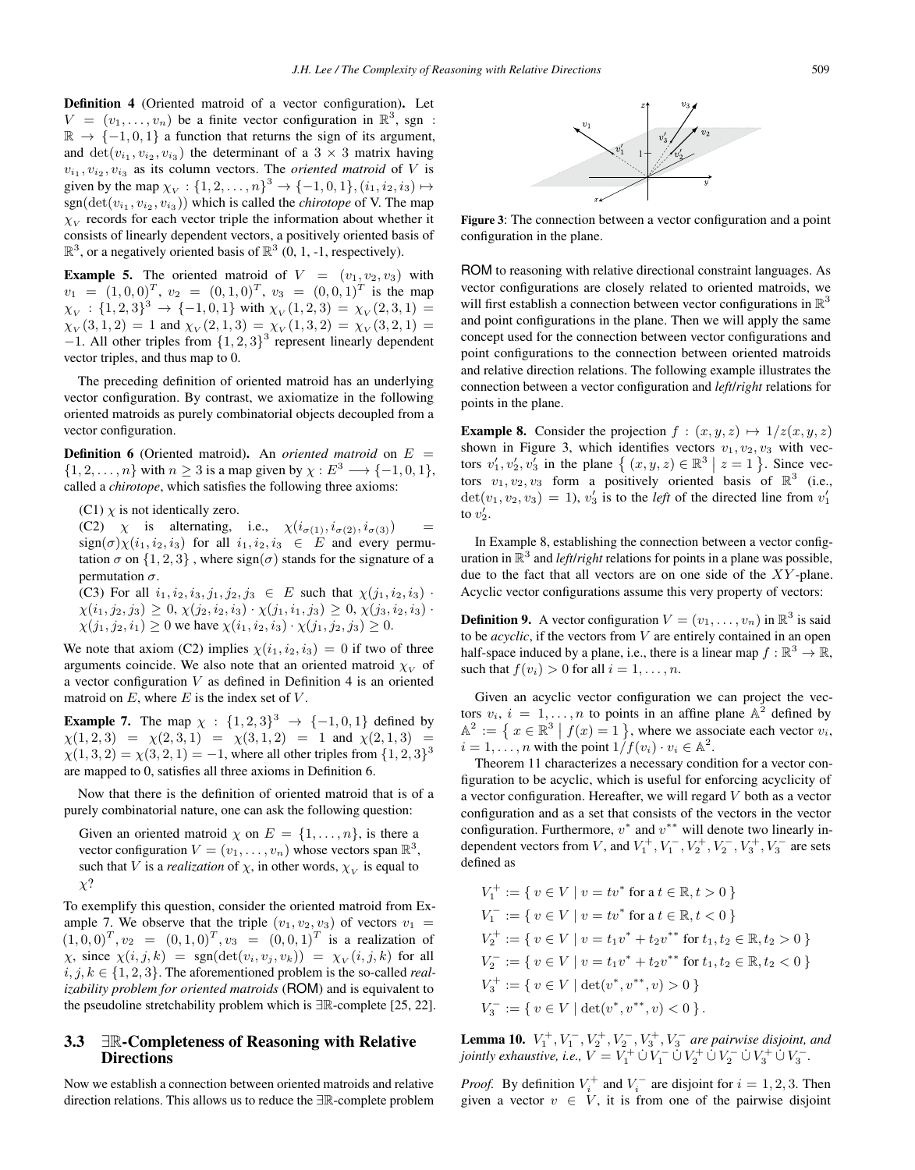Definition 4 (Oriented matroid of a vector configuration). Let  $V = (v_1, \ldots, v_n)$  be a finite vector configuration in  $\mathbb{R}^3$ , sgn:  $\mathbb{R} \rightarrow \{-1, 0, 1\}$  a function that returns the sign of its argument, and  $\det(v_{i_1}, v_{i_2}, v_{i_3})$  the determinant of a 3 × 3 matrix having  $v_{i_1}, v_{i_2}, v_{i_3}$  as its column vectors. The *oriented matroid* of V is  $v_{i_1}, v_{i_2}, v_{i_3}$  as its column vectors. The *oriented matroid* of V is<br>
given by the man  $\chi \sim 1.2$  and  $v_{i_1}^3 \rightarrow 1.1$  0.11  $(i_1, i_2, i_3)$ given by the map  $\chi_V : \{1, 2, ..., n\}^3 \to \{-1, 0, 1\}$ ,  $(i_1, i_2, i_3) \mapsto$ <br>son(det(*i*)  $(i_1, i_2, i_3)$  which is called the *chiratone* of V. The man  $sgn(\det(v_{i_1}, v_{i_2}, v_{i_3}))$  which is called the *chirotope* of V. The map  $\chi_V$  records for each vector triple the information about whether it consists of linearly dependent vectors, a positively oriented basis of  $\mathbb{R}^3$ , or a negatively oriented basis of  $\mathbb{R}^3$  (0, 1, -1, respectively).

**Example 5.** The oriented matroid of  $V = (v_1, v_2, v_3)$  with  $v_1 = (1, 0, 0)^T$ ,  $v_2 = (0, 1, 0)^T$ ,  $v_3 = (0, 0, 1)^T$  is the map  $\chi_V : \{1, 2, 3\}^3 \to \{-1, 0, 1\}$  with  $\chi_V (1, 2, 3) = \chi_V (2, 3, 1) =$  $\chi_V(3, 1, 2) = 1$  and  $\chi_V(2, 1, 3) = \chi_V(1, 3, 2) = \chi_V(3, 2, 1) =$  $-1$ . All other triples from  $\{1, 2, 3\}^3$  represent linearly dependent vector triples, and thus map to 0.

The preceding definition of oriented matroid has an underlying vector configuration. By contrast, we axiomatize in the following oriented matroids as purely combinatorial objects decoupled from a vector configuration.

**Definition 6** (Oriented matroid). An *oriented matroid* on  $E =$  $\{1, 2, \ldots, n\}$  with  $n \geq 3$  is a map given by  $\chi : E^3 \longrightarrow \{-1, 0, 1\},$ called a *chirotope*, which satisfies the following three axioms:

(C1)  $\chi$  is not identically zero.

(C2)  $\chi$  is alternating, i.e.,  $\chi(i_{\sigma(1)}, i_{\sigma(2)}, i_{\sigma(3)})$  $sign(\sigma)\chi(i_1, i_2, i_3)$  for all  $i_1, i_2, i_3 \in E$  and every permutation  $\sigma$  on  $\{1, 2, 3\}$ , where sign( $\sigma$ ) stands for the signature of a permutation  $\sigma$ .

(C3) For all  $i_1, i_2, i_3, j_1, j_2, j_3 \in E$  such that  $\chi(j_1, i_2, i_3)$ .  $\chi(i_1, j_2, j_3) \geq 0, \chi(j_2, i_2, i_3) \cdot \chi(j_1, i_1, j_3) \geq 0, \chi(j_3, i_2, i_3)$ .  $\chi(j_1, j_2, i_1) \geq 0$  we have  $\chi(i_1, i_2, i_3) \cdot \chi(j_1, j_2, j_3) \geq 0$ .

We note that axiom (C2) implies  $\chi(i_1, i_2, i_3)=0$  if two of three arguments coincide. We also note that an oriented matroid  $\chi_V$  of a vector configuration  $V$  as defined in Definition 4 is an oriented matroid on  $E$ , where  $E$  is the index set of  $V$ .

**Example 7.** The map  $\chi : \{1, 2, 3\}^3 \to \{-1, 0, 1\}$  defined by  $\chi(1, 2, 3) = \chi(2, 3, 1) = \chi(3, 1, 2) = 1$  and  $\chi(2, 1, 3) =$  $\chi(1,3,2) = \chi(3,2,1) = -1$ , where all other triples from  $\{1,2,3\}^3$ are mapped to 0, satisfies all three axioms in Definition 6.

Now that there is the definition of oriented matroid that is of a purely combinatorial nature, one can ask the following question:

Given an oriented matroid  $\chi$  on  $E = \{1, \ldots, n\}$ , is there a vector configuration  $V = (v_1, \ldots, v_n)$  whose vectors span  $\mathbb{R}^3$ , such that V is a *realization* of  $\chi$ , in other words,  $\chi_V$  is equal to  $\chi$ ?

To exemplify this question, consider the oriented matroid from Example 7. We observe that the triple  $(v_1, v_2, v_3)$  of vectors  $v_1$  =  $(1, 0, 0)^T$ ,  $v_2 = (0, 1, 0)^T$ ,  $v_3 = (0, 0, 1)^T$  is a realization of  $\chi$ , since  $\chi(i, j, k)$  = sgn(det( $v_i, v_j, v_k$ )) =  $\chi_V(i, j, k)$  for all  $i, j, k \in \{1, 2, 3\}$ . The aforementioned problem is the so-called *realizability problem for oriented matroids* (ROM) and is equivalent to the pseudoline stretchability problem which is <sup>∃</sup>R-complete [25, 22].

## 3.3 <sup>∃</sup>R-Completeness of Reasoning with Relative Directions

Now we establish a connection between oriented matroids and relative direction relations. This allows us to reduce the <sup>∃</sup>R-complete problem



Figure 3: The connection between a vector configuration and a point configuration in the plane.

ROM to reasoning with relative directional constraint languages. As vector configurations are closely related to oriented matroids, we will first establish a connection between vector configurations in  $\mathbb{R}^3$ and point configurations in the plane. Then we will apply the same concept used for the connection between vector configurations and point configurations to the connection between oriented matroids and relative direction relations. The following example illustrates the connection between a vector configuration and *left*/*right* relations for points in the plane.

**Example 8.** Consider the projection  $f : (x, y, z) \mapsto 1/z(x, y, z)$ shown in Figure 3, which identifies vectors  $v_1, v_2, v_3$  with vectors  $v'_1, v'_2, v'_3$  in the plane  $\{(x, y, z) \in \mathbb{R}^3 \mid z = 1\}$ . Since vectors  $v_1, v_2, v_3$  form a positively oriented basis of  $\mathbb{R}^3$  (i.e. tors  $v_1, v_2, v_3$  form a positively oriented basis of  $\mathbb{R}^3$  (i.e.,  $\det(v_1, v_2, v_3) = 1$ ,  $v_3$  is to the *left* of the directed line from  $v_1$  to  $v_2$ . to  $v'_2$ .

In Example 8, establishing the connection between a vector configuration in  $\mathbb{R}^3$  and *left/right* relations for points in a plane was possible, due to the fact that all vectors are on one side of the XY -plane. Acyclic vector configurations assume this very property of vectors:

**Definition 9.** A vector configuration  $V = (v_1, \ldots, v_n)$  in  $\mathbb{R}^3$  is said to be *acyclic*, if the vectors from V are entirely contained in an open half-space induced by a plane, i.e., there is a linear map  $f : \mathbb{R}^3 \to \mathbb{R}$ , such that  $f(v_i) > 0$  for all  $i = 1, \ldots, n$ .

Given an acyclic vector configuration we can project the vectors  $v_i$ ,  $i = 1, ..., n$  to points in an affine plane  $\mathbb{A}^2$  defined by  $\mathbb{A}^2 := \left\{ x \in \mathbb{R}^3 \mid f(x) = 1 \right\}$ , where we associate each vector  $v_i$ ,  $i = 1$  $i = 1, \ldots, n$  with the point  $1/f(v_i) \cdot v_i \in \mathbb{A}^2$ .

Theorem 11 characterizes a necessary condition for a vector configuration to be acyclic, which is useful for enforcing acyclicity of a vector configuration. Hereafter, we will regard  $V$  both as a vector configuration and as a set that consists of the vectors in the vector configuration. Furthermore,  $v^*$  and  $v^{**}$  will denote two linearly independent vectors from V, and  $V_1^+, V_1^-, V_2^+, V_2^-, V_3^+, V_3^-$  are sets defined as

$$
V_1^+ := \{ v \in V \mid v = tv^* \text{ for a } t \in \mathbb{R}, t > 0 \}
$$
  
\n
$$
V_1^- := \{ v \in V \mid v = tv^* \text{ for a } t \in \mathbb{R}, t < 0 \}
$$
  
\n
$$
V_2^+ := \{ v \in V \mid v = t_1v^* + t_2v^{**} \text{ for } t_1, t_2 \in \mathbb{R}, t_2 > 0 \}
$$
  
\n
$$
V_2^- := \{ v \in V \mid v = t_1v^* + t_2v^{**} \text{ for } t_1, t_2 \in \mathbb{R}, t_2 < 0 \}
$$
  
\n
$$
V_3^+ := \{ v \in V \mid \det(v^*, v^{**}, v) > 0 \}
$$
  
\n
$$
V_3^- := \{ v \in V \mid \det(v^*, v^{**}, v) < 0 \}.
$$

**Lemma 10.**  $V_1^+, V_1^-, V_2^+, V_2^-, V_3^+, V_3^-$  are pairwise disjoint, and initially exponentive  $i e^{-V} - V_1^+ \cup V_2^- \cup V_3^+ \cup V_4^- \cup V_5^- \cup V_6^+ \cup V_7^$ *jointly exhaustive, i.e.,*  $V = V_1^+ \cup V_1^- \cup V_2^+ \cup V_2^- \cup V_3^+ \cup V_3^-$ .

*Proof.* By definition  $V_i^+$  and  $V_i^-$  are disjoint for  $i = 1, 2, 3$ . Then given a vector  $v_i \in V$  it is from one of the pairwise disjoint given a vector  $v \in V$ , it is from one of the pairwise disjoint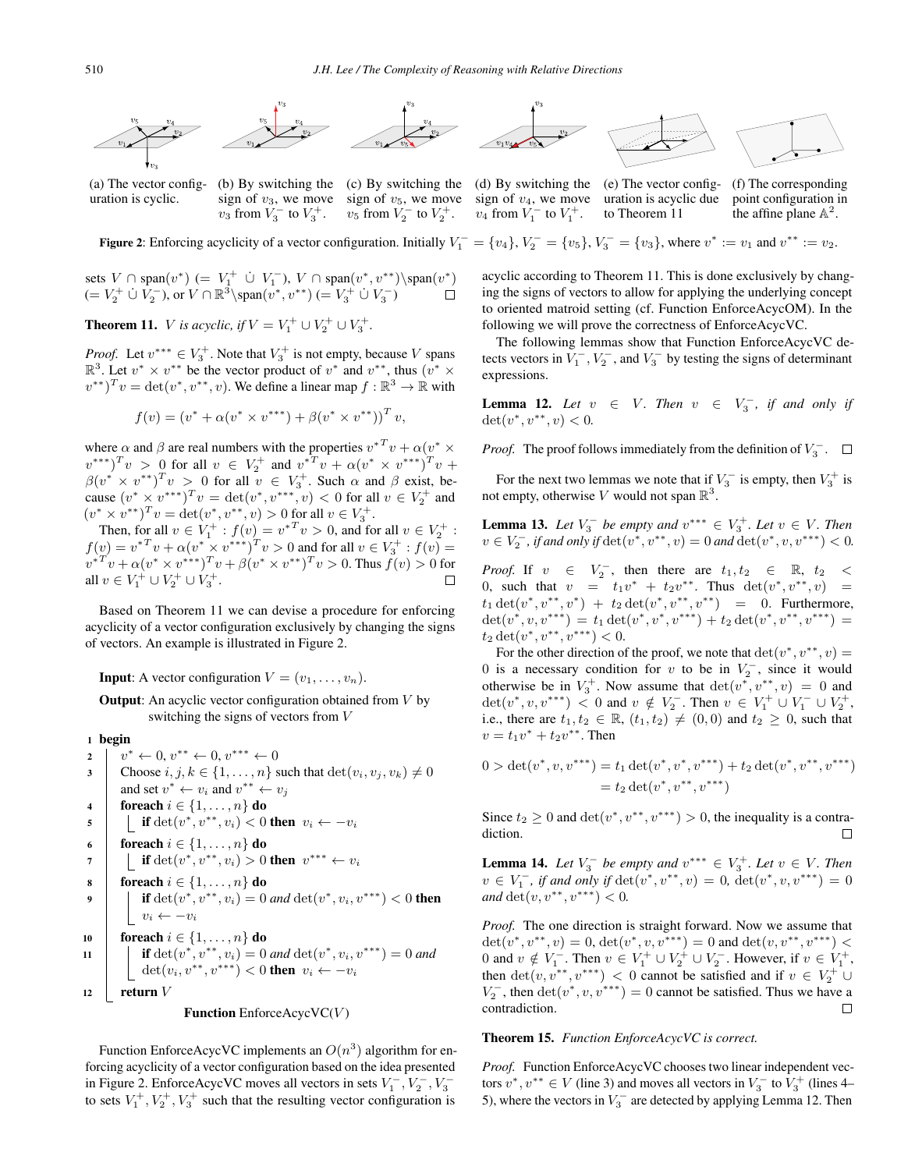

(a) The vector configuration is cyclic.

(b) By switching the (c) By switching the (d) By switching the (e) The vector config- (f) The corresponding sign of  $v_3$ , we move sign of  $v_5$ , we move sign of  $v_4$ , we move uration is acyclic due point configuration in  $v_2$  from  $V_0^-$  to  $V_0^+$ .  $v_4$  from  $V_0^-$  to  $V_0^+$ . to Theorem 11 the affine plane  $\mathbb{A}^2$ .  $v_3$  from  $V_3^-$  to  $V_3^+$ .

 $v_5$  from  $V_2^-$  to  $V_2^+$ .  $v_4$  from  $V_1^-$  to  $V_1^+$ .





to Theorem 11

the affine plane  $\mathbb{A}^2$ .



sets 
$$
V \cap \text{span}(v^*)
$$
 (=  $V_1^+$   $\dot{\cup} V_1^-$ ,  $V \cap \text{span}(v^*, v^{**}) \setminus \text{span}(v^*)$   
(=  $V_2^+$   $\dot{\cup} V_2^-$ ), or  $V \cap \mathbb{R}^3 \setminus \text{span}(v^*, v^{**})$  (=  $V_3^+$   $\dot{\cup} V_3^-$ )

**Theorem 11.** *V* is acyclic, if  $V = V_1^+ \cup V_2^+ \cup V_3^+$ .

*Proof.* Let  $v^{***} \in V_3^+$ . Note that  $V_3^+$  is not empty, because V spans  $\mathbb{R}^3$ . Let  $v^* \times v^{**}$  be the vector product of  $v^*$  and  $v^{**}$  thus  $(v^* \times v^*)$  $\mathbb{R}^3$ . Let  $v^* \times v^{**}$  be the vector product of  $v^*$  and  $v^{**}$ , thus  $(v^* \times v^*)$  $(v^{**})^T v = \det(v^*, v^{**}, v)$ . We define a linear map  $f : \mathbb{R}^3 \to \mathbb{R}$  with

$$
f(v) = (v^* + \alpha (v^* \times v^{**}) + \beta (v^* \times v^{**}))^T v,
$$

where  $\alpha$  and  $\beta$  are real numbers with the properties  $v^{*T}v + \alpha(v^* \times v^{**})$ <br>  $v^{**}$ ,  $T_{v_1} \geq 0$  for all  $v_i \in V^+$  and  $v^{*T}v + \alpha(v^* \times v^{**})$ ,  $T_{v_1}$  $v^{***}Tv > 0$  for all  $v \in V_2^+$  and  $v^{*T}v + \alpha(v^* \times v^{***})Tv + \beta(v^* \times v^{**})Tv$  +  $\beta(v^* \times v^{**})^T v > 0$  for all  $v \in V_3^+$ . Such  $\alpha$  and  $\beta$  exist, be-<br>cause  $(v^* \times v^{***})^T v = \det(v^* v^{***}) v > 0$  for all  $v \in V_3^+$  and cause  $(v^* \times v^{***})^T v = \det(v^*, v^{***}, v) < 0$  for all  $v \in V_2^+$  and  $(v^* \times v^{**})^T v = \det(v^*, v^{**}, v) > 0$  for all  $v \in V_2^+$  $(v^* \times v^{**})^T v = \det(v^*, v^{**}, v) > 0$  for all  $v \in V_3^+$ .<br>Then for all  $v \in V^+$   $f(v) = v^{*T}v > 0$  and for

Then, for all  $v \in V_1^+ : f(v) = v^{*T}v > 0$ , and for all  $v \in V_2^+ : v = v^{*T}v + o(v^* \times v^{***})^T v > 0$  and for all  $v \in V^+ : f(v) = 0$  $f(v) = v^{*T}v + \alpha(v^{*} \times v^{***})^{T}v > 0$  and for all  $v \in V_3^+ : f(v) =$ <br> $v^{*T}v + \alpha(v^{*} \times v^{**})^{T}v + \beta(v^{*} \times v^{**})^{T}v > 0$ . Thus  $f(v) > 0$  for  $v^{*T}v + \alpha(v^* \times v^{***})^T v + \beta(v^* \times v^{**})^T v > 0.$  Thus  $f(v) > 0$  for all  $v \in V^+ \cup V^+ \cup V^+$ all  $v \in V_1^+ \cup V_2^+ \cup V_3^+.$ 

Based on Theorem 11 we can devise a procedure for enforcing acyclicity of a vector configuration exclusively by changing the signs of vectors. An example is illustrated in Figure 2.

**Input:** A vector configuration  $V = (v_1, \ldots, v_n)$ .

**Output:** An acyclic vector configuration obtained from  $V$  by switching the signs of vectors from V

#### <sup>1</sup> begin

```
2 v^* \leftarrow 0, v^{**} \leftarrow 0, v^{***} \leftarrow 0<br>3 Choose i, i, k \in \{1, ..., n\}Choose i, j, k \in \{1, \ldots, n\} such that \det(v_i, v_j, v_k) \neq 0and set v^* \leftarrow v_i and v^{**} \leftarrow v_j4 foreach i \in \{1, ..., n\} do<br>5 foreach i f det(v^*, v^{**}, v_i) < 05 if det(v^*, v^{**}, v_i) < 0 then v_i \leftarrow -v_i<br>6 foreach i \in \{1, ..., n\} do
 6 foreach i \in \{1, ..., n\} do<br>7 if \det(v^*, v^{**}, v_i) > 07 if det(v^*, v^{**}, v_i) > 0 then v^{***} \leftarrow v_i<br>8 foreach i \in \{1, ..., n\} do
 8 foreach i \in \{1, ..., n\} do<br>9 f det(v^*, v^{**}, v_i) = 0if det(v^*, v^{**}, v_i) = 0 and det(v^*, v_i, v^{***}) < 0 then
              v_i \leftarrow -v_i10 foreach i \in \{1, ..., n\} do<br>
11 if det(v^*, v^{**}, v_i) = 0if det(v^*, v^{**}, v_i) = 0 and det(v^*, v_i, v^{***}) = 0 and
                 det(v_i, v^{**}, v^{***}) < 0 then v_i \leftarrow -v_i12 return V
```


Function EnforceAcycVC implements an  $O(n^3)$  algorithm for enforcing acyclicity of a vector configuration based on the idea presented in Figure 2. EnforceAcycVC moves all vectors in sets  $V_1^-, V_2^-, V_3^-$ <br>to sets  $V_1^+$ ,  $V_1^+$ ,  $V_2^+$  such that the resulting vector configuration is to sets  $V_1^+, V_2^+, V_3^+$  such that the resulting vector configuration is

acyclic according to Theorem 11. This is done exclusively by changing the signs of vectors to allow for applying the underlying concept to oriented matroid setting (cf. Function EnforceAcycOM). In the following we will prove the correctness of EnforceAcycVC.

The following lemmas show that Function EnforceAcycVC detects vectors in  $V_1^-$ ,  $V_2^-$ , and  $V_3^-$  by testing the signs of determinant expressions.

**Lemma 12.** Let  $v \in V$ . Then  $v \in V_3^-$ , if and only if  $det(v^* v^{**} v) < 0$  $\det(v^*, v^{**}, v) < 0.$ 

*Proof.* The proof follows immediately from the definition of  $V_3^-$ .

For the next two lemmas we note that if  $V_3^-$  is empty, then  $V_3^+$  is tempty otherwise V would not span  $\mathbb{R}^3$ not empty, otherwise V would not span  $\mathbb{R}^3$ .

**Lemma 13.** *Let*  $V_3^-$  *be empty and*  $v^{***} \in V_3^+$ *. Let*  $v \in V$ *. Then*<br> $v \in V^-$  *if and only if dot*  $(v^*, v^{**}, v) = 0$  and dot  $(v^*, v^{***}) > 0$  $v \in V_2^-$ , if and only if  $\det(v^*, v^{**}, v) = 0$  and  $\det(v^*, v, v^{***}) < 0$ .

*Proof.* If  $v \in V_2^-$ , then there are  $t_1, t_2 \in \mathbb{R}, t_2 < 0$  such that  $v = t_1v^* + t_2v^{**}$ . Thus  $det(v^* v^{**} v) = 0$ 0, such that  $v = t_1v^* + t_2v^{**}$ . Thus  $det(v^*, v^{**}, v) =$  $t_1 \det(v^*, v^{**}, v^*) + t_2 \det(v^*, v^{**}, v^{**}) = 0$ . Furthermore,  $\det(v^*, v, v^{***}) = t_1 \det(v^*, v^*, v^{***}) + t_2 \det(v^*, v^{**}, v^{***}) =$  $t_2 \det(v^*, v^{**}, v^{***}) < 0.$ 

For the other direction of the proof, we note that  $det(v^*, v^{**}, v) =$ 0 is a necessary condition for v to be in  $V_2^-$ , since it would otherwise be in  $V_3^+$ . Now assume that  $\det(v^*, v^{**}, v) = 0$  and  $\det(v^*, v^{**}, v) = 0$  and  $v \notin V^-$ . Then  $v \in V^+ \cup V^- \cup V^+$ det $(v^*, v, v^{**}) < 0$  and  $v \notin V_2^-$ . Then  $v \in V_1^+ \cup V_1^- \cup V_2^+$ ,<br>i.e., there are t,  $t_0 \in \mathbb{R}$ ,  $(t_1, t_0) \neq (0, 0)$  and  $t_0 > 0$ , such that i.e., there are  $t_1, t_2 \in \mathbb{R}$ ,  $(t_1, t_2) \neq (0, 0)$  and  $t_2 \geq 0$ , such that  $v = t_1v^* + t_2v^{**}$ . Then

$$
0 > \det(v^*, v, v^{***}) = t_1 \det(v^*, v^*, v^{***}) + t_2 \det(v^*, v^{**}, v^{***})
$$
  
=  $t_2 \det(v^*, v^{**}, v^{***})$ 

Since  $t_2 \geq 0$  and  $\det(v^*, v^{**}, v^{***}) > 0$ , the inequality is a contradiction.

**Lemma 14.** *Let*  $V_3^-$  *be empty and*  $v^{***} \in V_3^+$ *. Let*  $v \in V$ *. Then*<br> $v \in V^-$  *if and only if dot*  $(v^*, v^{**}, v) = 0$  *dot*  $(v^*, v, v^{***}) = 0$  $v \in V_1^-$ , if and only if  $\det(v^*, v^{**}, v) = 0$ ,  $\det(v^*, v, v^{***}) = 0$ <br>and  $\det(v, v^{**}, v^{***}) < 0$ *and*  $\det(v, v^{**}, v^{***}) < 0$ .

*Proof.* The one direction is straight forward. Now we assume that det $(v^*, v^{**}, v) = 0$ , det $(v^*, v, v^{***}) = 0$  and det $(v, v^{**}, v^{***}) < 0$  and  $v \notin V^-$ . Then  $v \in V^+ \cup V^+ \cup V^-$ . However, if  $v \in V^+$ 0 and  $v \notin V_1^{\perp}$ . Then  $v \in V_1^{\perp} \cup V_2^{\perp} \cup V_2^{\perp}$ . However, if  $v \in V_1^{\perp}$ , then dot(*u*, *u*<sup>\*\*</sup>, *u*<sup>\*\*\*</sup>) < 0 cannot be satisfied and if  $v \in V_1^{\perp}$ . then det $(v, v^{**}, v^{***}) < 0$  cannot be satisfied and if  $v \in V_2^+ \cup V^-$  then det $(v^*, v^{***}) = 0$  cannot be satisfied. Thus we have a  $V_2^-$ , then  $\det(v^*, v, v^{***})=0$  cannot be satisfied. Thus we have a contradiction contradiction.

#### Theorem 15. *Function EnforceAcycVC is correct.*

*Proof.* Function EnforceAcycVC chooses two linear independent vectors  $v^*, v^{**} \in V$  (line 3) and moves all vectors in  $V_3^-$  to  $V_3^+$  (lines 4–<br>5) where the vectors in  $V^-$  are detected by applying I emma 12. Then 5), where the vectors in  $V_3^-$  are detected by applying Lemma 12. Then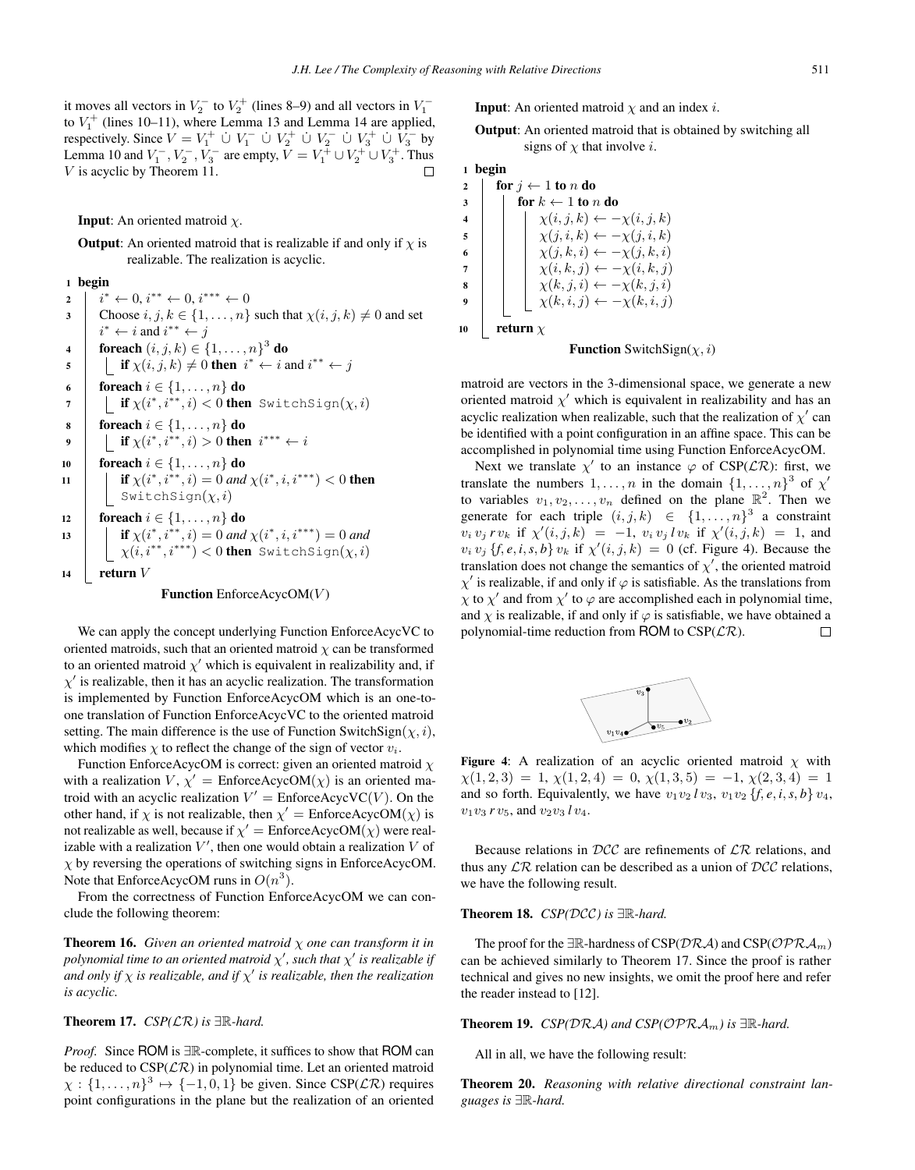it moves all vectors in  $V_2^-$  to  $V_2^+$  (lines 8–9) and all vectors in  $V_1^-$ <br>to  $V^+$  (lines 10–11), where I emma 13 and I emma 14 are applied to  $V_1^+$  (lines 10–11), where Lemma 13 and Lemma 14 are applied,<br>respectively Since  $V = V_1^+ + V_2^- + V_3^+ + V_4^- + V_5^- + V_6^-$  by respectively. Since  $V = V_1^+ \cup V_1^- \cup V_2^+ \cup V_2^- \cup V_3^+ \cup V_3^-$  by<br>Lemma 10 and  $V^ V^-$  are empty  $V = V^+ \cup V^+ \cup V^+$ . Thus Lemma 10 and  $V_1^-, V_2^-, V_3^-$  are empty,  $V = V_1^+ \cup V_2^+ \cup V_3^+$ . Thus <br>V is acyclic by Theorem 11 V is acyclic by Theorem 11.

**Input:** An oriented matroid  $\chi$ .

**Output:** An oriented matroid that is realizable if and only if  $\chi$  is realizable. The realization is acyclic.

<sup>1</sup> begin

```
\begin{array}{c} 2 \\ 2 \end{array} i
               * ← 0, i^{**} ← 0, i^{***} ← 0<br>Thoose i, i, k \in \{1, ..., n\}3 Choose i, j, k \in \{1, \ldots, n\} such that \chi(i, j, k) \neq 0 and set
  4 foreach (i, j, k) \in \{1, \ldots, n\}^3 do<br>5 if \chi(i, j, k) \neq 0 then i^* \leftarrow i;
               * ← i and i^{**} ← j<br>oreach (i, j, k) ∈ J
  \mathsf{f} \left\{\n \begin{array}{c}\n \text{if } \chi(i, j, k) \neq 0 \text{ then } i^* \leftarrow i \text{ and } i^{**} \leftarrow j\n \end{array}\n\right\}6 foreach i \in \{1, ..., n\} do <br>7 f \{i * i * i : i \leq 0\} then
  7 \left[\begin{array}{c} \textbf{if } \chi(i^*, i^{**}, i) < 0 \textbf{ then } \text{SwitchSign}(\chi, i) \end{array}\right]8 foreach i \in \{1, ..., n\} do<br>9 forcach i f \gamma(i^*, i^{**}, i) > 0 then
  9 if \chi(i^*, i^{**}, i) > 0 then i^{***} \leftarrow i10 foreach i \in \{1, ..., n\} do<br>11 if \gamma(i^* \ i^{**} \ i) = 0 and
11 if \chi(i^*, i^{**}, i) = 0 and \chi(i^*, i, i^{***}) < 0 then
                    SwitchSign(\chi, i)12 foreach i \in \{1, ..., n\} do<br>
13 if \gamma(i^*, i^{**}, i) = 0 and
13 if \chi(i^*, i^{**}, i) = 0 and \chi(i^*, i, i^{***}) = 0 and<br>\chi(i, i^{**}, i^{***}) = 0 then \chi(i + \text{obj} \text{sn}(i, i))\chi(i, i^{**}, i^{***}) < 0 then SwitchSign(\chi, i)14 return V
```
#### **Function** EnforceAcycOM $(V)$

We can apply the concept underlying Function EnforceAcycVC to oriented matroids, such that an oriented matroid  $\chi$  can be transformed to an oriented matroid  $\chi'$  which is equivalent in realizability and, if  $\chi'$  is realizable, then it has an acyclic realization. The transformation  $\chi'$  is realizable, then it has an acyclic realization. The transformation<br>is implemented by Eunction Enforce AcycOM which is an one-to is implemented by Function EnforceAcycOM which is an one-toone translation of Function EnforceAcycVC to the oriented matroid setting. The main difference is the use of Function SwitchSign( $\chi$ , i), which modifies  $\chi$  to reflect the change of the sign of vector  $v_i$ .

Function EnforceAcycOM is correct: given an oriented matroid  $\chi$ with a realization  $V$ ,  $\chi' =$  EnforceAcycOM( $\chi$ ) is an oriented ma-<br>troid with an acyclic realization  $V' =$  EnforceAcycVC( $V$ ). On the troid with an acyclic realization  $V' = \text{EnforceAcycVC}(V)$ . On the other hand if  $\chi$  is not realizable, then  $\chi' = \text{EnforceAcycOM}(\chi)$  is other hand, if  $\chi$  is not realizable, then  $\chi' =$  EnforceAcycOM( $\chi$ ) is not realizable as well, because if  $\chi' =$  EnforceAcycOM( $\chi$ ) were real not realizable as well, because if  $\chi' =$  EnforceAcycOM( $\chi$ ) were real-<br>izable with a realization  $V'$  then one would obtain a realization V of izable with a realization  $V'$ , then one would obtain a realization V of  $\sim$  by reversing the operations of switching signs in Enforce AcycOM  $\chi$  by reversing the operations of switching signs in EnforceAcycOM. Note that EnforceAcycOM runs in  $O(n^3)$ .

From the correctness of Function EnforceAcycOM we can conclude the following theorem:

**Theorem 16.** *Given an oriented matroid*  $\chi$  *one can transform it in polynomial time to an oriented matroid*  $χ'$ , *such that*  $χ'$  *is realizable if*<br>and only if  $χ$  is realizable, and if  $x'$  is realizable, then the realization *and only if* χ *is realizable, and if* χ- *is realizable, then the realization is acyclic.*

### Theorem 17. *CSP(*LR*) is* <sup>∃</sup>R*-hard.*

*Proof.* Since ROM is ∃R-complete, it suffices to show that ROM can be reduced to  $CSP(\mathcal{LR})$  in polynomial time. Let an oriented matroid  $\chi : \{1, \ldots, n\}^3 \mapsto \{-1, 0, 1\}$  be given. Since CSP( $\mathcal{LR}$ ) requires point configurations in the plane but the realization of an oriented

**Input**: An oriented matroid  $\chi$  and an index *i*.

Output: An oriented matroid that is obtained by switching all signs of  $\chi$  that involve *i*.

# <sup>1</sup> begin

2 for  $j \leftarrow 1$  to n do<br>3 for  $k \leftarrow 1$  to n  $\begin{array}{c|c} 3 & \text{for } k \leftarrow 1 \text{ to } n \text{ do} \\ 4 & \text{if } \chi(i, j, k) \leftarrow -1 \end{array}$ 4  $\chi(i, j, k) \leftarrow -\chi(i, j, k)$ <br>  $\chi(j, i, k) \leftarrow -\chi(j, i, k)$  $\begin{array}{c|c|c|c} \hline \mathbf{5} & \mathbf{1} & \mathbf{1} & \mathbf{1} \\ \hline \mathbf{6} & \mathbf{1} & \mathbf{1} & \mathbf{1} \\ \hline \mathbf{6} & \mathbf{1} & \mathbf{1} & \mathbf{1} \\ \hline \mathbf{1} & \mathbf{1} & \mathbf{1} & \mathbf{1} \\ \hline \mathbf{1} & \mathbf{1} & \mathbf{1} & \mathbf{1} \\ \hline \mathbf{1} & \mathbf{1} & \mathbf{1} & \mathbf{1} \\ \hline \mathbf{1} & \mathbf{1} & \mathbf{$ 6  $\chi(j, k, i) \leftarrow -\chi(j, k, i)$ <br>  $\chi(i, k, i) \leftarrow -\chi(j, k, i)$  $\begin{array}{c|c|c} \hline \tau & \chi(i,k,j) \leftarrow -\chi(i,k,j) \\ \hline \chi(k,i,j) \leftarrow -\chi(k,i,j) \end{array}$  $\begin{array}{c|c|c} \mathbf{s} & \mathbf{y}(k, j, i) \leftarrow -\chi(k, j, i) \\ \hline \mathbf{y}(k, j, i) & \mathbf{y}(k, j, i) \end{array}$ 9  $\Big| \Big| \Big| \chi(k, i, j) \leftarrow -\chi(k, i, j)$ 10 **return**  $\chi$ 

**Function** SwitchSign( $\chi$ , *i*)

matroid are vectors in the 3-dimensional space, we generate a new oriented matroid  $\chi'$  which is equivalent in realizability and has an acyclic realization when realizable such that the realization of  $\chi'$  can acyclic realization when realizable, such that the realization of  $\chi'$  can<br>be identified with a point configuration in an affine space. This can be be identified with a point configuration in an affine space. This can be accomplished in polynomial time using Function EnforceAcycOM.

Next we translate  $\chi'$  to an instance  $\varphi$  of CSP( $\mathcal{LR}$ ): first, we used the numbers 1 and in the domain  $\chi^2$  of  $\chi'$ translate the numbers  $1, \ldots, n$  in the domain  $\{1, \ldots, n\}^3$  of  $\chi'$ <br>to variables  $v_1, v_2, \ldots, v_n$  defined on the plane  $\mathbb{R}^2$ . Then we to variables  $v_1, v_2, \ldots, v_n$  defined on the plane  $\mathbb{R}^2$ . Then we generate for each triple  $(i, j, k) \in \{1, \ldots, n\}^3$  a constraint  $v_i v_j r v_k$  if  $\chi'(i, j, k) = -1$ ,  $v_i v_j l v_k$  if  $\chi'(i, j, k) = 1$ , and  $v_i v_j f \circ i$  s  $h \rangle v_j$ , if  $\chi'(i, j, k) = 0$  (of Figure 4). Because the  $v_i v_j \{f, e, i, s, b\} v_k$  if  $\chi'(i, j, k) = 0$  (cf. Figure 4). Because the translation does not change the semantics of  $\chi'$  the oriented matroid translation does not change the semantics of  $\chi'$ , the oriented matroid  $\chi'$  is realizable, if and only if  $\alpha$  is satisfiable. As the translations from  $\chi'$  is realizable, if and only if  $\varphi$  is satisfiable. As the translations from  $\chi'$  to  $\chi'$  and from  $\chi'$  to  $\varphi$  are accomplished each in polynomial time  $\chi$  to  $\chi'$  and from  $\chi'$  to  $\varphi$  are accomplished each in polynomial time,<br>and  $\chi$  is realizable, if and only if  $\varphi$  is satisfiable, we have obtained a and  $\chi$  is realizable, if and only if  $\varphi$  is satisfiable, we have obtained a nolynomial-time reduction from ROM to CSP( $\mathcal{LR}$ ). polynomial-time reduction from ROM to  $CSP(\mathcal{LR})$ .



Figure 4: A realization of an acyclic oriented matroid  $\chi$  with  $\chi(1, 2, 3) = 1, \chi(1, 2, 4) = 0, \chi(1, 3, 5) = -1, \chi(2, 3, 4) = 1$ and so forth. Equivalently, we have  $v_1v_2/v_3$ ,  $v_1v_2\{f, e, i, s, b\}v_4$ ,  $v_1v_3$  *r*  $v_5$ , and  $v_2v_3$  *l*  $v_4$ .

Because relations in  $DCC$  are refinements of  $LR$  relations, and thus any  $\mathcal{LR}$  relation can be described as a union of  $\mathcal{DCC}$  relations, we have the following result.

#### Theorem 18. *CSP(*DCC*) is* <sup>∃</sup>R*-hard.*

The proof for the  $\exists \mathbb{R}$ -hardness of CSP( $\mathcal{DRA}$ ) and CSP( $\mathcal{OPRA}_m$ ) can be achieved similarly to Theorem 17. Since the proof is rather technical and gives no new insights, we omit the proof here and refer the reader instead to [12].

**Theorem 19.**  $CSP(DRA)$  and  $CSP(\text{OPRA}_m)$  is  $\exists \mathbb{R}$ -hard.

All in all, we have the following result:

Theorem 20. *Reasoning with relative directional constraint languages is* <sup>∃</sup>R*-hard.*